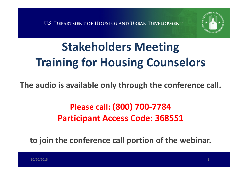

# **Stakeholders Meeting Training for Housing Counselors**

#### **The audio is available only through the conference call.**

### **Please call: (800) 700-7784 Participant Access Code: 368551**

**to join the conference call portion of the webinar.**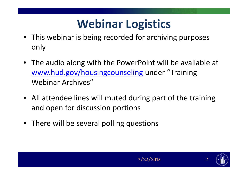## **Webinar Logistics**

- This webinar is being recorded for archiving purposes only
- The audio along with the PowerPoint will be available at www.hud.gov/housingcounseling under "Training Webinar Archives"
- All attendee lines will muted during part of the training and open for discussion portions
- There will be several polling questions

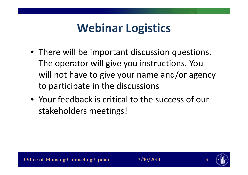## **Webinar Logistics**

- There will be important discussion questions. The operator will give you instructions. You will not have to give your name and/or agency to participate in the discussions
- Your feedback is critical to the success of our stakeholders meetings!

7/10/2014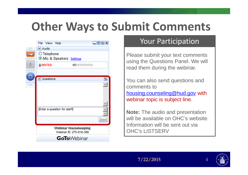## **Other Ways to Submit Comments**

|                         | File View Help                                         | 日回回因 |
|-------------------------|--------------------------------------------------------|------|
| <b>BBBBBB</b><br>------ | $\Box$ Audio                                           |      |
|                         | ◯ Telephone<br>O Mic & Speakers Settings               |      |
|                         | <b>MUTED</b><br>4000000000                             |      |
| п                       | $\Box$ Questions                                       | 回    |
|                         |                                                        |      |
| <br>                    |                                                        |      |
|                         | [Enter a question for staff]                           |      |
|                         |                                                        | Send |
|                         | <b>Webinar Housekeeping</b><br>Webinar ID: 275-918-366 |      |
|                         | <b>GoTo</b> Webinar                                    |      |

#### Your Participation

Please submit your text comments using the Questions Panel. We will read them during the webinar.

You can also send questions and comments to housing.counseling@hud.gov with webinar topic is subject line.

**Note:** The audio and presentation will be available on OHC's website. Information will be sent out via **OHC's LISTSERV** 



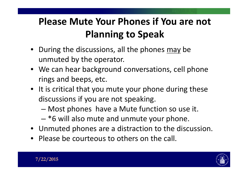### **Please Mute Your Phones if You are not Planning to Speak**

- During the discussions, all the phones may be unmuted by the operator.
- We can hear background conversations, cell phone rings and beeps, etc.
- It is critical that you mute your phone during these discussions if you are not speaking.
	- Most phones have a Mute function so use it.
	- $-$  \*6 will also mute and unmute your phone.
- Unmuted phones are a distraction to the discussion.
- Please be courteous to others on the call.



#### $/22/2015$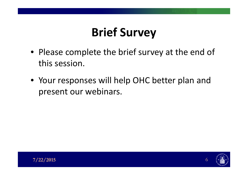# **Brief Survey**

- Please complete the brief survey at the end of this session.
- Your responses will help OHC better plan and present our webinars.

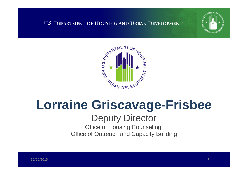**U.S. DEPARTMENT OF HOUSING AND URBAN DEVELOPMENT** 





# **Lorraine Griscavage-Frisbee**

#### **Deputy Director**

Office of Housing Counseling, **Office of Outreach and Capacity Building**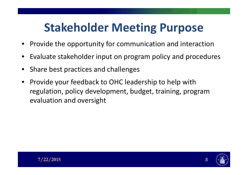## **Stakeholder Meeting Purpose**

- Provide the opportunity for communication and interaction
- Evaluate stakeholder input on program policy and procedures
- Share best practices and challenges
- Provide your feedback to OHC leadership to help with regulation, policy development, budget, training, program evaluation and oversight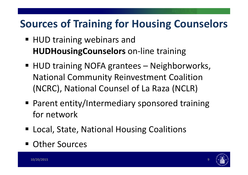### **Sources of Training for Housing Counselors**

- HUD training webinars and **HUDHousingCounselors** on-line training
- HUD training NOFA grantees Neighborworks, **National Community Reinvestment Coalition** (NCRC), National Counsel of La Raza (NCLR)
- Parent entity/Intermediary sponsored training for network
- Local, State, National Housing Coalitions
- Other Sources

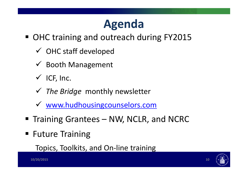## **Agenda**

- OHC training and outreach during FY2015
	- $\checkmark$  OHC staff developed
	- $\checkmark$  Booth Management
	- $\checkmark$  ICF, Inc.
	- $\checkmark$  The Bridge monthly newsletter
	- v www.hudhousingcounselors.com
- Training Grantees NW, NCLR, and NCRC
- **Future Training**

Topics, Toolkits, and On-line training

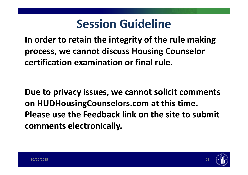## **Session Guideline**

**In order to retain the integrity of the rule making process, we cannot discuss Housing Counselor certification examination or final rule.**

**Due to privacy issues, we cannot solicit comments on HUDHousingCounselors.com at this time. Please use the Feedback link on the site to submit comments electronically.**

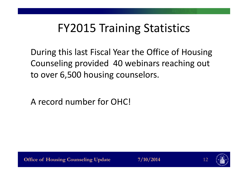## **FY2015 Training Statistics**

During this last Fiscal Year the Office of Housing Counseling provided 40 webinars reaching out to over 6,500 housing counselors.

A record number for OHC!

**Office of Housing Counseling Update** 

7/10/2014

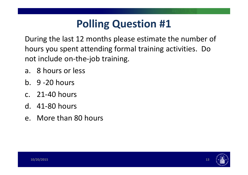### **Polling Question #1**

During the last 12 months please estimate the number of hours you spent attending formal training activities. Do not include on-the-job training.

- a. 8 hours or less
- $b. 9 20 hours$
- c. 21-40 hours
- $d.$  41-80 hours
- e. More than 80 hours



 $13$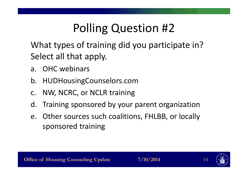# **Polling Question #2**

What types of training did you participate in? Select all that apply.

- a. OHC webinars
- HUDHousing Counselors.com  $b_{\cdot}$
- NW, NCRC, or NCLR training  $C_{\cdot}$
- Training sponsored by your parent organization  $\mathsf{d}$ .
- e. Other sources such coalitions, FHLBB, or locally sponsored training



7/10/2014

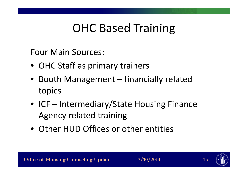## **OHC Based Training**

**Four Main Sources:** 

- OHC Staff as primary trainers
- Booth Management financially related topics
- ICF Intermediary/State Housing Finance **Agency related training**
- Other HUD Offices or other entities

7/10/2014

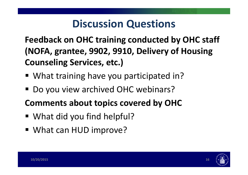### **Discussion Questions**

**Feedback on OHC training conducted by OHC staff (NOFA, grantee, 9902, 9910, Delivery of Housing Counseling Services, etc.)**

- What training have you participated in?
- Do you view archived OHC webinars?
- **Comments about topics covered by OHC**
- $\blacksquare$  What did you find helpful?
- What can HUD improve?

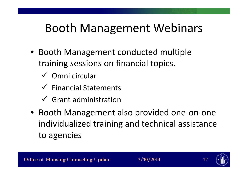## Booth Management Webinars

- Booth Management conducted multiple training sessions on financial topics.
	- $\checkmark$  Omni circular
	- $\checkmark$  Financial Statements
	- $\checkmark$  Grant administration
- Booth Management also provided one-on-one individualized training and technical assistance to agencies



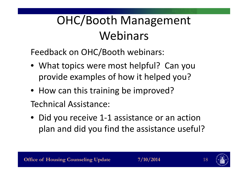# OHC/Booth Management Webinars

Feedback on OHC/Booth webinars:

- What topics were most helpful? Can you provide examples of how it helped you?
- How can this training be improved? Technical Assistance:
- Did you receive 1-1 assistance or an action plan and did you find the assistance useful?



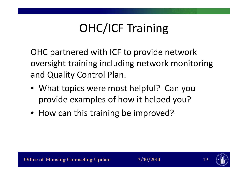# **OHC/ICF Training**

OHC partnered with ICF to provide network oversight training including network monitoring and Quality Control Plan.

- What topics were most helpful? Can you provide examples of how it helped you?
- How can this training be improved?

7/10/2014

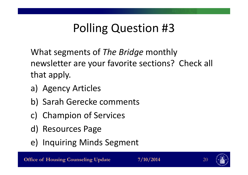# **Polling Question #3**

What segments of The Bridge monthly newsletter are your favorite sections? Check all that apply.

- a) Agency Articles
- b) Sarah Gerecke comments
- c) Champion of Services
- d) Resources Page
- e) Inquiring Minds Segment



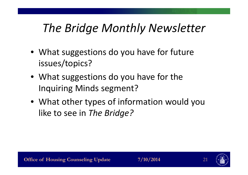## *The Bridge Monthly Newsletter*

- What suggestions do you have for future issues/topics?
- What suggestions do you have for the Inquiring Minds segment?
- What other types of information would you like to see in *The Bridge?*

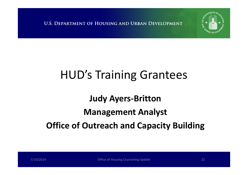U.S. DEPARTMENT OF HOUSING AND URBAN DEVELOPMENT



## **HUD's Training Grantees**

#### **Judy Ayers-Britton**

#### **Management Analyst**

### **Office of Outreach and Capacity Building**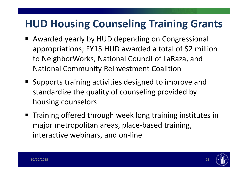### **HUD Housing Counseling Training Grants**

- Awarded yearly by HUD depending on Congressional appropriations; FY15 HUD awarded a total of \$2 million to NeighborWorks, National Council of LaRaza, and **National Community Reinvestment Coalition**
- Supports training activities designed to improve and standardize the quality of counseling provided by housing counselors
- Training offered through week long training institutes in major metropolitan areas, place-based training, interactive webinars, and on-line



23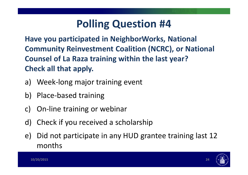### **Polling Question #4**

Have you participated in NeighborWorks, National **Community Reinvestment Coalition (NCRC), or National** Counsel of La Raza training within the last year? Check all that apply.

- Week-long major training event a)
- **Place-based training** b)
- On-line training or webinar  $\mathsf{C}$
- Check if you received a scholarship  $d)$
- Did not participate in any HUD grantee training last 12  $\epsilon$ months

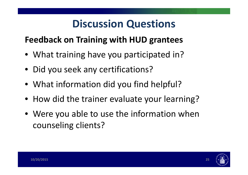### **Discussion Questions**

#### **Feedback on Training with HUD grantees**

- What training have you participated in?
- Did you seek any certifications?
- What information did you find helpful?
- How did the trainer evaluate your learning?
- Were you able to use the information when counseling clients?

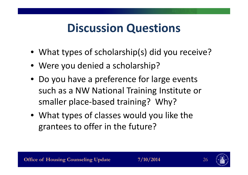## **Discussion Questions**

- What types of scholarship(s) did you receive?
- Were you denied a scholarship?
- Do you have a preference for large events such as a NW National Training Institute or smaller place-based training? Why?
- What types of classes would you like the grantees to offer in the future?



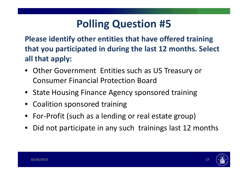### **Polling Question #5**

**Please identify other entities that have offered training that you participated in during the last 12 months. Select all that apply:**

- Other Government Entities such as US Treasury or Consumer Financial Protection Board
- State Housing Finance Agency sponsored training
- Coalition sponsored training
- For-Profit (such as a lending or real estate group)
- Did not participate in any such trainings last 12 months

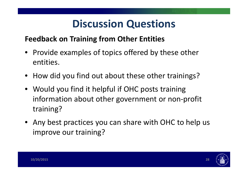### **Discussion Questions**

#### **Feedback on Training from Other Entities**

- Provide examples of topics offered by these other entities.
- How did you find out about these other trainings?
- Would you find it helpful if OHC posts training information about other government or non-profit training?
- Any best practices you can share with OHC to help us improve our training?

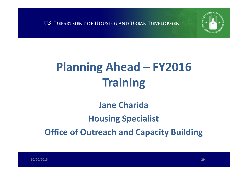**U.S. DEPARTMENT OF HOUSING AND URBAN DEVELOPMENT** 



### **Jane Charida Housing Specialist Office of Outreach and Capacity Building**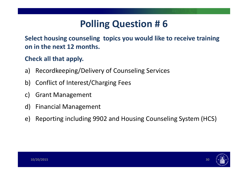### **Polling Question # 6**

**Select housing counseling topics you would like to receive training on in the next 12 months.**

#### **Check all that apply.**

- a) Recordkeeping/Delivery of Counseling Services
- b) Conflict of Interest/Charging Fees
- c) Grant Management
- d) Financial Management
- e) Reporting including 9902 and Housing Counseling System (HCS)

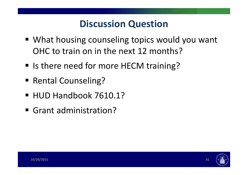### **Discussion Question**

- What housing counseling topics would you want OHC to train on in the next 12 months?
- Is there need for more HECM training?
- Rental Counseling?
- HUD Handbook 7610.1?
- Grant administration?

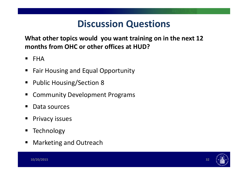### **Discussion Questions**

What other topics would you want training on in the next 12 months from OHC or other offices at HUD?

- **FHA**  $\blacksquare$
- **Fair Housing and Equal Opportunity**  $\blacksquare$
- **Public Housing/Section 8**  $\blacksquare$
- **Community Development Programs** ш
- Data sources
- **Privacy issues**  $\blacksquare$
- Technology
- **Marketing and Outreach**  $\blacksquare$



32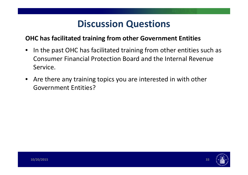#### **Discussion Questions**

#### **OHC has facilitated training from other Government Entities**

- In the past OHC has facilitated training from other entities such as Consumer Financial Protection Board and the Internal Revenue Service.
- Are there any training topics you are interested in with other **Government Entities?**



33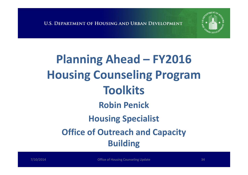

## **Planning Ahead – FY2016 Housing Counseling Program Toolkits Robin Penick Housing Specialist Office of Outreach and Capacity Building**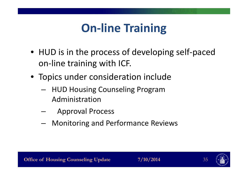## **On-line Training**

- HUD is in the process of developing self-paced on-line training with ICF.
- Topics under consideration include
	- HUD Housing Counseling Program Administration
	- **Approval Process**
	- Monitoring and Performance Reviews



7/10/2014

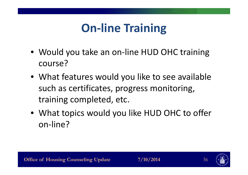## **On-line Training**

- Would you take an on-line HUD OHC training course?
- What features would you like to see available such as certificates, progress monitoring, training completed, etc.
- What topics would you like HUD OHC to offer on-line?



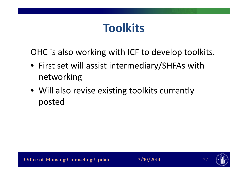### **Toolkits**

OHC is also working with ICF to develop toolkits.

- First set will assist intermediary/SHFAs with networking
- Will also revise existing toolkits currently posted

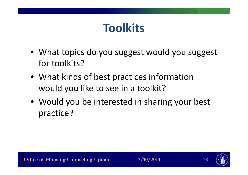### **Toolkits**

- What topics do you suggest would you suggest for toolkits?
- What kinds of best practices information would you like to see in a toolkit?
- Would you be interested in sharing your best practice?



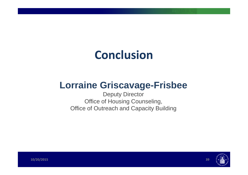## **Conclusion**

### **Lorraine Griscavage-Frisbee**

**Deputy Director** Office of Housing Counseling, **Office of Outreach and Capacity Building** 



39